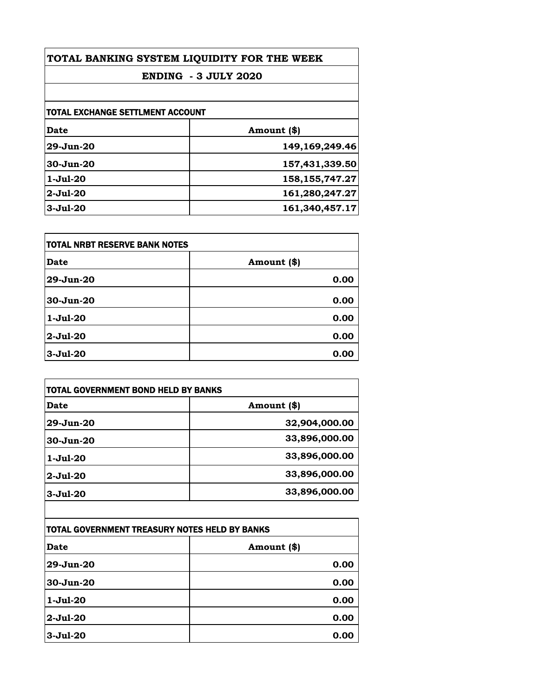| TOTAL BANKING SYSTEM LIQUIDITY FOR THE WEEK<br><b>ENDING - 3 JULY 2020</b> |                   |                                  |             |
|----------------------------------------------------------------------------|-------------------|----------------------------------|-------------|
|                                                                            |                   | TOTAL EXCHANGE SETTLMENT ACCOUNT |             |
|                                                                            |                   | Date                             | Amount (\$) |
| $29 - Jun-20$                                                              | 149,169,249.46    |                                  |             |
| $30 - Jun - 20$                                                            | 157,431,339.50    |                                  |             |
| $1-Ju1-20$                                                                 | 158, 155, 747. 27 |                                  |             |
| $2-Jul-20$                                                                 | 161,280,247.27    |                                  |             |
| $3-Ju1-20$                                                                 | 161,340,457.17    |                                  |             |

| <b>TOTAL NRBT RESERVE BANK NOTES</b> |             |
|--------------------------------------|-------------|
| <b>Date</b>                          | Amount (\$) |
| 29-Jun-20                            | 0.00        |
| 30-Jun-20                            | 0.00        |
| $1-Ju1-20$                           | 0.00        |
| $2-Jul-20$                           | 0.00        |
| $3-Jul-20$                           | 0.00        |

| Date            | Amount (\$)   |
|-----------------|---------------|
| $29$ -Jun- $20$ | 32,904,000.00 |
| $30 - Jun-20$   | 33,896,000.00 |
| $1-Ju1-20$      | 33,896,000.00 |
| $2 - Ju1 - 20$  | 33,896,000.00 |
| $3-Ju1-20$      | 33,896,000.00 |

| TOTAL GOVERNMENT TREASURY NOTES HELD BY BANKS |             |
|-----------------------------------------------|-------------|
| <b>Date</b>                                   | Amount (\$) |
| 29-Jun-20                                     | 0.00        |
| $30 - Jun-20$                                 | 0.00        |
| $1-Jul-20$                                    | 0.00        |
| $2-Jul-20$                                    | 0.00        |
| $3 - Jul - 20$                                | 0.00        |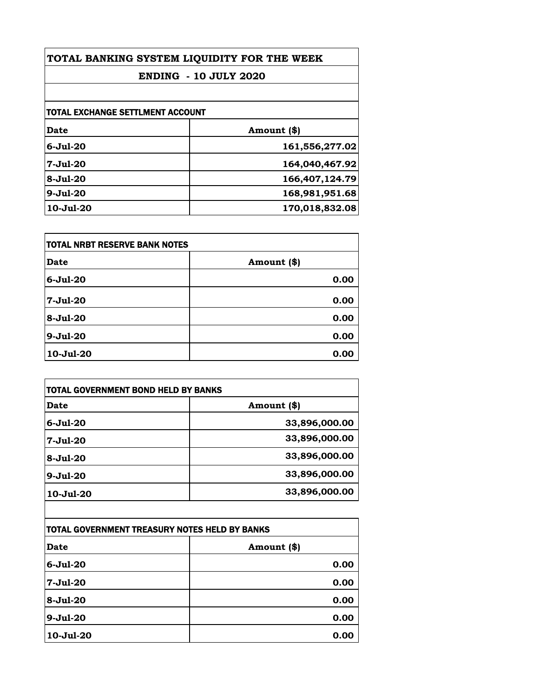| TOTAL BANKING SYSTEM LIQUIDITY FOR THE WEEK<br><b>ENDING - 10 JULY 2020</b> |                |                                         |             |
|-----------------------------------------------------------------------------|----------------|-----------------------------------------|-------------|
|                                                                             |                | <b>TOTAL EXCHANGE SETTLMENT ACCOUNT</b> |             |
|                                                                             |                | Date                                    | Amount (\$) |
| $6 - Ju1 - 20$                                                              | 161,556,277.02 |                                         |             |
| $7 - Ju1 - 20$                                                              | 164,040,467.92 |                                         |             |
| $8 - Ju1 - 20$                                                              | 166,407,124.79 |                                         |             |
| $9 - Ju1 - 20$                                                              | 168,981,951.68 |                                         |             |
| 10-Jul-20                                                                   | 170,018,832.08 |                                         |             |

| <b>TOTAL NRBT RESERVE BANK NOTES</b> |             |
|--------------------------------------|-------------|
| <b>Date</b>                          | Amount (\$) |
| $6 - Jul - 20$                       | 0.00        |
| $7 - Jul - 20$                       | 0.00        |
| $8 - Ju1 - 20$                       | 0.00        |
| $9-Jul-20$                           | 0.00        |
| 10-Jul-20                            | 0.00        |

| <b>TOTAL GOVERNMENT BOND HELD BY BANKS</b> |               |
|--------------------------------------------|---------------|
| Date                                       | Amount (\$)   |
| $6 - Ju1 - 20$                             | 33,896,000.00 |
| $7-Ju1-20$                                 | 33,896,000.00 |
| $8 - Ju1 - 20$                             | 33,896,000.00 |
| $9 - Ju1 - 20$                             | 33,896,000.00 |
| 10-Jul-20                                  | 33,896,000.00 |
|                                            |               |

| TOTAL GOVERNMENT TREASURY NOTES HELD BY BANKS |             |
|-----------------------------------------------|-------------|
| <b>Date</b>                                   | Amount (\$) |
| $6 -$ Jul $-20$                               | 0.00        |
| $7-Ju1-20$                                    | 0.00        |
| $8 - Ju1 - 20$                                | 0.00        |
| $9-Jul-20$                                    | 0.00        |
| $10 -$ Jul $-20$                              | 0.00        |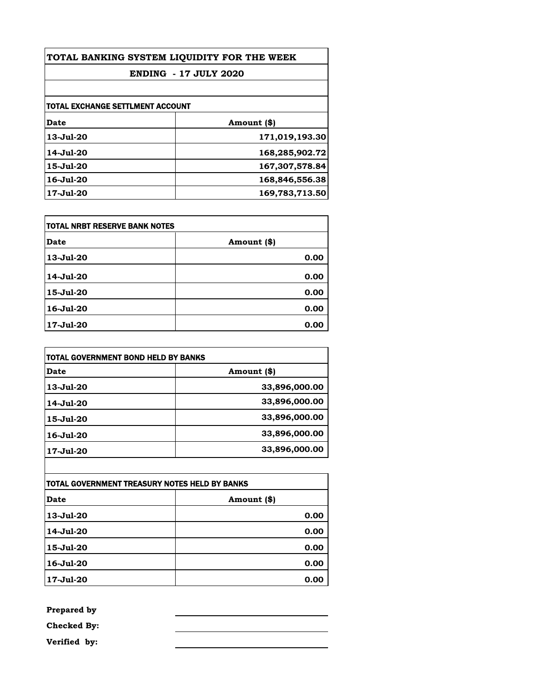| TOTAL BANKING SYSTEM LIQUIDITY FOR THE WEEK |                |
|---------------------------------------------|----------------|
| <b>ENDING - 17 JULY 2020</b>                |                |
|                                             |                |
| TOTAL EXCHANGE SETTLMENT ACCOUNT            |                |
| Date                                        | Amount (\$)    |
| $13-Jul-20$                                 | 171,019,193.30 |
| 14-Jul-20                                   | 168,285,902.72 |
| 15-Jul-20                                   | 167,307,578.84 |
| 16-Jul-20                                   | 168,846,556.38 |
| 17-Jul-20                                   | 169,783,713.50 |

| TOTAL NRBT RESERVE BANK NOTES |             |
|-------------------------------|-------------|
| Date                          | Amount (\$) |
| 13-Jul-20                     | 0.00        |
| 14-Jul-20                     | 0.00        |
| 15-Jul-20                     | 0.00        |
| 16-Jul-20                     | 0.00        |
| 17-Jul-20                     | 0.00        |

| TOTAL GOVERNMENT BOND HELD BY BANKS |               |
|-------------------------------------|---------------|
| Date                                | Amount (\$)   |
| 13-Jul-20                           | 33,896,000.00 |
| 14-Jul-20                           | 33,896,000.00 |
| 15-Jul-20                           | 33,896,000.00 |
| 16-Jul-20                           | 33,896,000.00 |
| 17-Jul-20                           | 33,896,000.00 |

| TOTAL GOVERNMENT TREASURY NOTES HELD BY BANKS |             |
|-----------------------------------------------|-------------|
| Date                                          | Amount (\$) |
| 13-Jul-20                                     | 0.00        |
| 14-Jul-20                                     | 0.00        |
| 15-Jul-20                                     | 0.00        |
| 16-Jul-20                                     | 0.00        |
| 17-Jul-20                                     | 0.00        |

**Prepared by**

**Checked By:**

**Verified by:**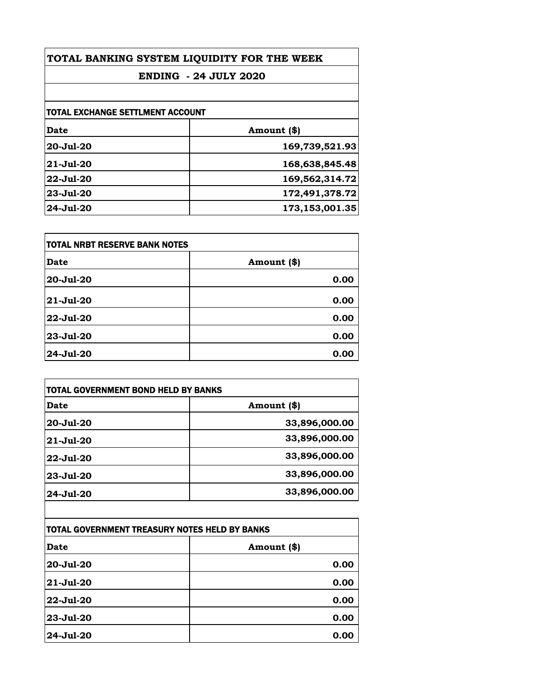| TOTAL BANKING SYSTEM LIQUIDITY FOR THE WEEK<br><b>ENDING - 24 JULY 2020</b> |                |
|-----------------------------------------------------------------------------|----------------|
|                                                                             |                |
| <b>TOTAL EXCHANGE SETTLMENT ACCOUNT</b>                                     |                |
| Date                                                                        | Amount (\$)    |
| 20-Jul-20                                                                   | 169,739,521.93 |
| $21 - Jul - 20$                                                             | 168,638,845.48 |
| $22 -$ Jul-20                                                               | 169,562,314.72 |
| 23-Jul-20                                                                   | 172,491,378.72 |
| 24-Jul-20                                                                   | 173,153,001.35 |

| <b>TOTAL NRBT RESERVE BANK NOTES</b> |             |
|--------------------------------------|-------------|
| Date                                 | Amount (\$) |
| 20-Jul-20                            | 0.00        |
| 21-Jul-20                            | 0.00        |
| 22-Jul-20                            | 0.00        |
| 23-Jul-20                            | 0.00        |
| 24-Jul-20                            | 0.00        |

| <b>TOTAL GOVERNMENT BOND HELD BY BANKS</b> |               |
|--------------------------------------------|---------------|
| Date                                       | Amount (\$)   |
| $20 - Ju1 - 20$                            | 33,896,000.00 |
| $21 - Jul - 20$                            | 33,896,000.00 |
| $22 -$ Jul $-20$                           | 33,896,000.00 |
| $23 - Jul - 20$                            | 33,896,000.00 |
| $24 - Jul - 20$                            | 33,896,000.00 |

| TOTAL GOVERNMENT TREASURY NOTES HELD BY BANKS |             |
|-----------------------------------------------|-------------|
| <b>Date</b>                                   | Amount (\$) |
| 20-Jul-20                                     | 0.00        |
| 21-Jul-20                                     | 0.00        |
| 22-Jul-20                                     | 0.00        |
| 23-Jul-20                                     | 0.00        |
| 24-Jul-20                                     | 0.00        |